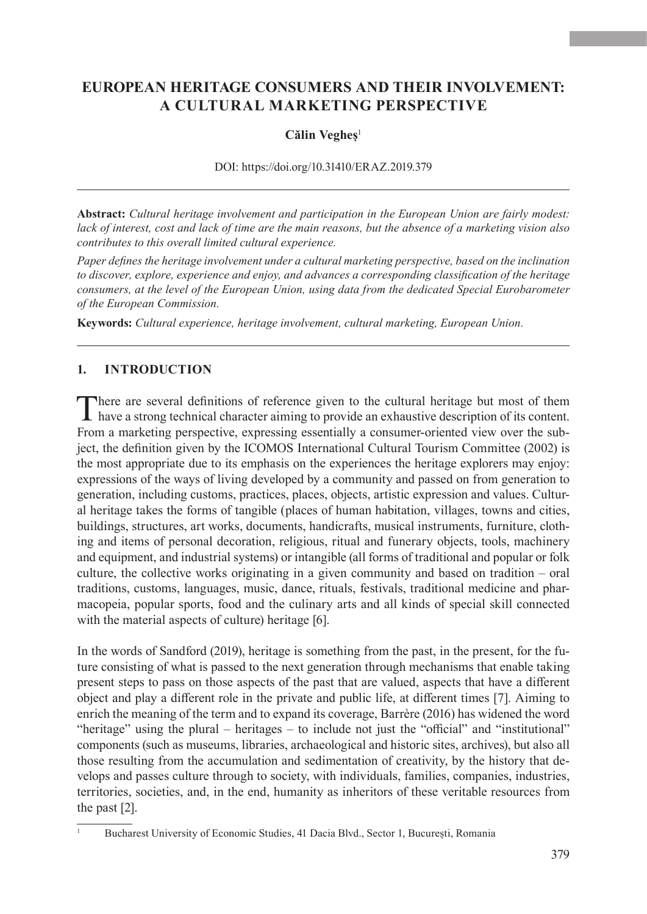# **EUROPEAN HERITAGE CONSUMERS AND THEIR INVOLVEMENT: A CULTURAL MARKETING PERSPECTIVE**

### Călin Vegheș<sup>1</sup>

DOI: <https://doi.org/10.31410/ERAZ.2019.379>

**Abstract:** *Cultural heritage involvement and participation in the European Union are fairly modest: lack of interest, cost and lack of time are the main reasons, but the absence of a marketing vision also contributes to this overall limited cultural experience.*

*Paper defines the heritage involvement under a cultural marketing perspective, based on the inclination to discover, explore, experience and enjoy, and advances a corresponding classification of the heritage consumers, at the level of the European Union, using data from the dedicated Special Eurobarometer of the European Commission.*

**Keywords:** *Cultural experience, heritage involvement, cultural marketing, European Union.*

## **1. INTRODUCTION**

There are several definitions of reference given to the cultural heritage but most of them have a strong technical character aiming to provide an exhaustive description of its content. From a marketing perspective, expressing essentially a consumer-oriented view over the subject, the definition given by the ICOMOS International Cultural Tourism Committee (2002) is the most appropriate due to its emphasis on the experiences the heritage explorers may enjoy: expressions of the ways of living developed by a community and passed on from generation to generation, including customs, practices, places, objects, artistic expression and values. Cultural heritage takes the forms of tangible (places of human habitation, villages, towns and cities, buildings, structures, art works, documents, handicrafts, musical instruments, furniture, clothing and items of personal decoration, religious, ritual and funerary objects, tools, machinery and equipment, and industrial systems) or intangible (all forms of traditional and popular or folk culture, the collective works originating in a given community and based on tradition – oral traditions, customs, languages, music, dance, rituals, festivals, traditional medicine and pharmacopeia, popular sports, food and the culinary arts and all kinds of special skill connected with the material aspects of culture) heritage [6].

In the words of Sandford (2019), heritage is something from the past, in the present, for the future consisting of what is passed to the next generation through mechanisms that enable taking present steps to pass on those aspects of the past that are valued, aspects that have a different object and play a different role in the private and public life, at different times [7]. Aiming to enrich the meaning of the term and to expand its coverage, Barrère (2016) has widened the word "heritage" using the plural – heritages – to include not just the "official" and "institutional" components (such as museums, libraries, archaeological and historic sites, archives), but also all those resulting from the accumulation and sedimentation of creativity, by the history that develops and passes culture through to society, with individuals, families, companies, industries, territories, societies, and, in the end, humanity as inheritors of these veritable resources from the past [2].

<sup>1</sup> Bucharest University of Economic Studies, 41 Dacia Blvd., Sector 1, București, Romania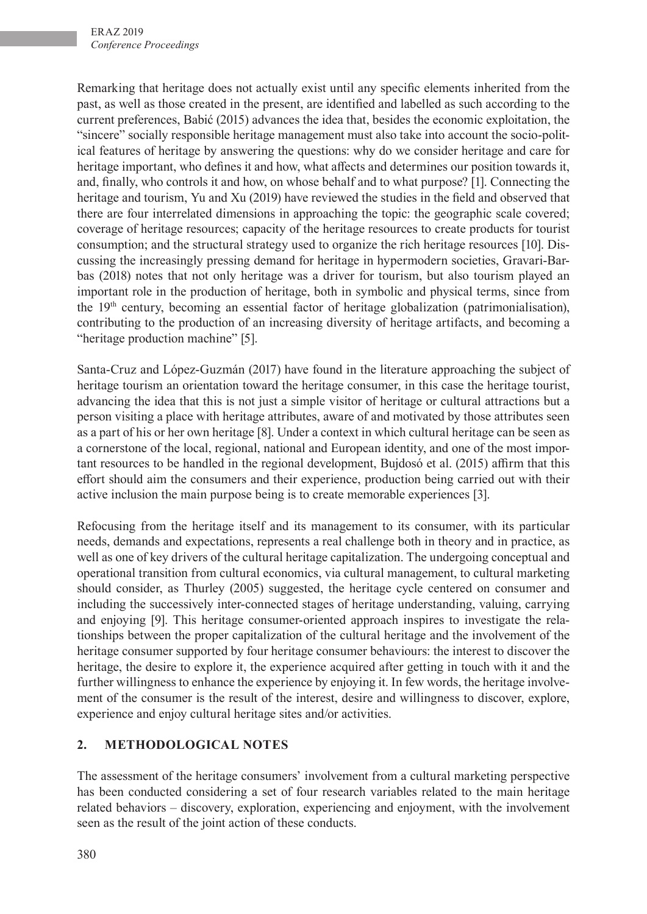Remarking that heritage does not actually exist until any specific elements inherited from the past, as well as those created in the present, are identified and labelled as such according to the current preferences, Babić (2015) advances the idea that, besides the economic exploitation, the "sincere" socially responsible heritage management must also take into account the socio-political features of heritage by answering the questions: why do we consider heritage and care for heritage important, who defines it and how, what affects and determines our position towards it, and, finally, who controls it and how, on whose behalf and to what purpose? [1]. Connecting the heritage and tourism, Yu and Xu (2019) have reviewed the studies in the field and observed that there are four interrelated dimensions in approaching the topic: the geographic scale covered; coverage of heritage resources; capacity of the heritage resources to create products for tourist consumption; and the structural strategy used to organize the rich heritage resources [10]. Discussing the increasingly pressing demand for heritage in hypermodern societies, Gravari-Barbas (2018) notes that not only heritage was a driver for tourism, but also tourism played an important role in the production of heritage, both in symbolic and physical terms, since from the 19th century, becoming an essential factor of heritage globalization (patrimonialisation), contributing to the production of an increasing diversity of heritage artifacts, and becoming a "heritage production machine" [5].

Santa-Cruz and López-Guzmán (2017) have found in the literature approaching the subject of heritage tourism an orientation toward the heritage consumer, in this case the heritage tourist, advancing the idea that this is not just a simple visitor of heritage or cultural attractions but a person visiting a place with heritage attributes, aware of and motivated by those attributes seen as a part of his or her own heritage [8]. Under a context in which cultural heritage can be seen as a cornerstone of the local, regional, national and European identity, and one of the most important resources to be handled in the regional development, Bujdosó et al. (2015) affirm that this effort should aim the consumers and their experience, production being carried out with their active inclusion the main purpose being is to create memorable experiences [3].

Refocusing from the heritage itself and its management to its consumer, with its particular needs, demands and expectations, represents a real challenge both in theory and in practice, as well as one of key drivers of the cultural heritage capitalization. The undergoing conceptual and operational transition from cultural economics, via cultural management, to cultural marketing should consider, as Thurley (2005) suggested, the heritage cycle centered on consumer and including the successively inter-connected stages of heritage understanding, valuing, carrying and enjoying [9]. This heritage consumer-oriented approach inspires to investigate the relationships between the proper capitalization of the cultural heritage and the involvement of the heritage consumer supported by four heritage consumer behaviours: the interest to discover the heritage, the desire to explore it, the experience acquired after getting in touch with it and the further willingness to enhance the experience by enjoying it. In few words, the heritage involvement of the consumer is the result of the interest, desire and willingness to discover, explore, experience and enjoy cultural heritage sites and/or activities.

## **2. METHODOLOGICAL NOTES**

The assessment of the heritage consumers' involvement from a cultural marketing perspective has been conducted considering a set of four research variables related to the main heritage related behaviors – discovery, exploration, experiencing and enjoyment, with the involvement seen as the result of the joint action of these conducts.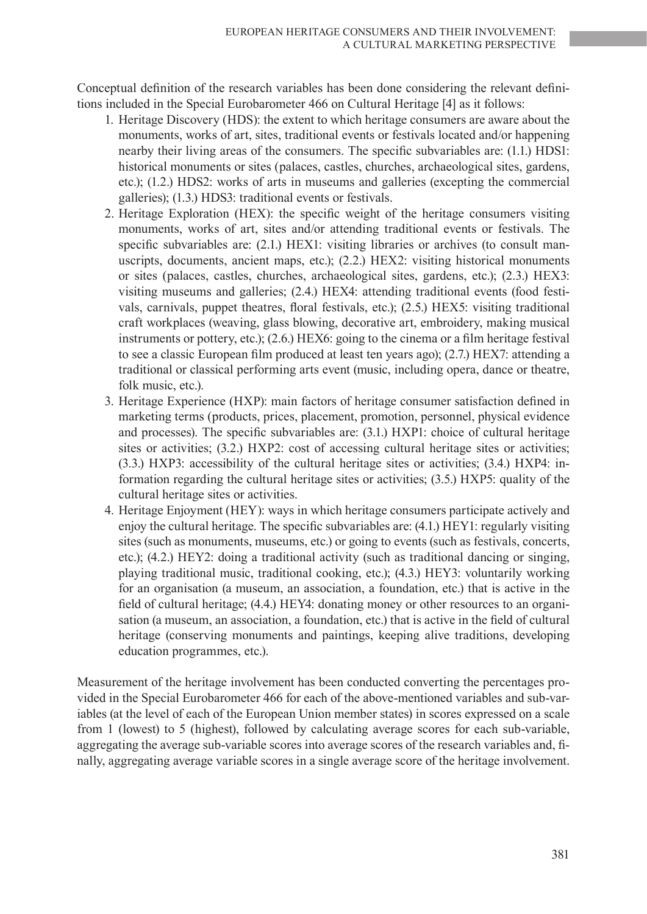Conceptual definition of the research variables has been done considering the relevant definitions included in the Special Eurobarometer 466 on Cultural Heritage [4] as it follows:

- 1. Heritage Discovery (HDS): the extent to which heritage consumers are aware about the monuments, works of art, sites, traditional events or festivals located and/or happening nearby their living areas of the consumers. The specific subvariables are: (1.1.) HDS1: historical monuments or sites (palaces, castles, churches, archaeological sites, gardens, etc.); (1.2.) HDS2: works of arts in museums and galleries (excepting the commercial galleries); (1.3.) HDS3: traditional events or festivals.
- 2. Heritage Exploration (HEX): the specific weight of the heritage consumers visiting monuments, works of art, sites and/or attending traditional events or festivals. The specific subvariables are: (2.1.) HEX1: visiting libraries or archives (to consult manuscripts, documents, ancient maps, etc.); (2.2.) HEX2: visiting historical monuments or sites (palaces, castles, churches, archaeological sites, gardens, etc.); (2.3.) HEX3: visiting museums and galleries; (2.4.) HEX4: attending traditional events (food festivals, carnivals, puppet theatres, floral festivals, etc.); (2.5.) HEX5: visiting traditional craft workplaces (weaving, glass blowing, decorative art, embroidery, making musical instruments or pottery, etc.); (2.6.) HEX6: going to the cinema or a film heritage festival to see a classic European film produced at least ten years ago); (2.7.) HEX7: attending a traditional or classical performing arts event (music, including opera, dance or theatre, folk music, etc.).
- 3. Heritage Experience (HXP): main factors of heritage consumer satisfaction defined in marketing terms (products, prices, placement, promotion, personnel, physical evidence and processes). The specific subvariables are: (3.1.) HXP1: choice of cultural heritage sites or activities; (3.2.) HXP2: cost of accessing cultural heritage sites or activities; (3.3.) HXP3: accessibility of the cultural heritage sites or activities; (3.4.) HXP4: information regarding the cultural heritage sites or activities; (3.5.) HXP5: quality of the cultural heritage sites or activities.
- 4. Heritage Enjoyment (HEY): ways in which heritage consumers participate actively and enjoy the cultural heritage. The specific subvariables are: (4.1.) HEY1: regularly visiting sites (such as monuments, museums, etc.) or going to events (such as festivals, concerts, etc.); (4.2.) HEY2: doing a traditional activity (such as traditional dancing or singing, playing traditional music, traditional cooking, etc.); (4.3.) HEY3: voluntarily working for an organisation (a museum, an association, a foundation, etc.) that is active in the field of cultural heritage; (4.4.) HEY4: donating money or other resources to an organisation (a museum, an association, a foundation, etc.) that is active in the field of cultural heritage (conserving monuments and paintings, keeping alive traditions, developing education programmes, etc.).

Measurement of the heritage involvement has been conducted converting the percentages provided in the Special Eurobarometer 466 for each of the above-mentioned variables and sub-variables (at the level of each of the European Union member states) in scores expressed on a scale from 1 (lowest) to 5 (highest), followed by calculating average scores for each sub-variable, aggregating the average sub-variable scores into average scores of the research variables and, finally, aggregating average variable scores in a single average score of the heritage involvement.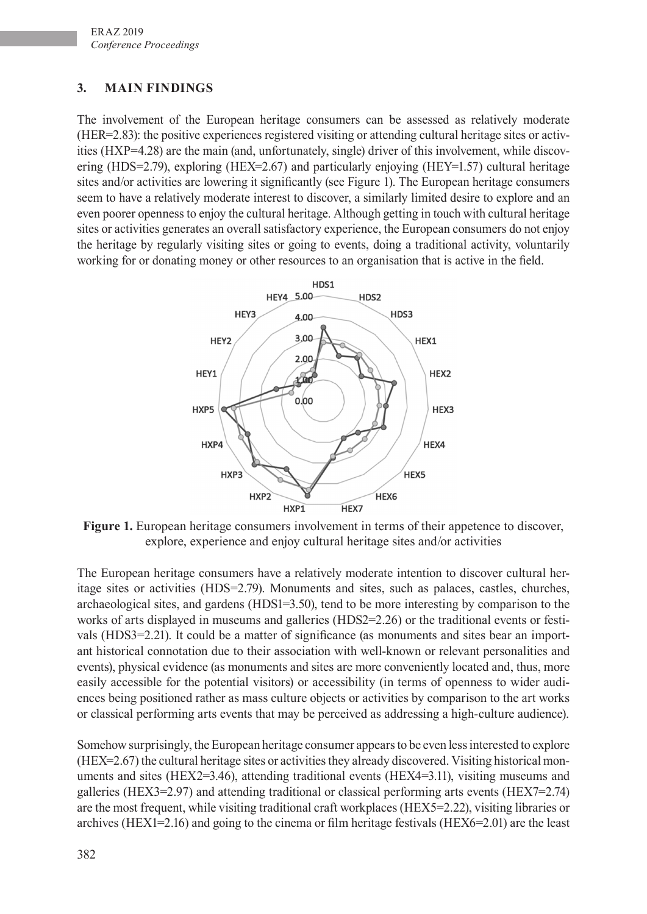# **3. MAIN FINDINGS**

The involvement of the European heritage consumers can be assessed as relatively moderate (HER=2.83): the positive experiences registered visiting or attending cultural heritage sites or activities (HXP=4.28) are the main (and, unfortunately, single) driver of this involvement, while discovering (HDS=2.79), exploring (HEX=2.67) and particularly enjoying (HEY=1.57) cultural heritage sites and/or activities are lowering it significantly (see Figure 1). The European heritage consumers seem to have a relatively moderate interest to discover, a similarly limited desire to explore and an even poorer openness to enjoy the cultural heritage. Although getting in touch with cultural heritage sites or activities generates an overall satisfactory experience, the European consumers do not enjoy the heritage by regularly visiting sites or going to events, doing a traditional activity, voluntarily working for or donating money or other resources to an organisation that is active in the field.



**Figure 1.** European heritage consumers involvement in terms of their appetence to discover, explore, experience and enjoy cultural heritage sites and/or activities

The European heritage consumers have a relatively moderate intention to discover cultural heritage sites or activities (HDS=2.79). Monuments and sites, such as palaces, castles, churches, archaeological sites, and gardens (HDS1=3.50), tend to be more interesting by comparison to the works of arts displayed in museums and galleries (HDS2=2.26) or the traditional events or festivals (HDS3=2.21). It could be a matter of significance (as monuments and sites bear an important historical connotation due to their association with well-known or relevant personalities and events), physical evidence (as monuments and sites are more conveniently located and, thus, more easily accessible for the potential visitors) or accessibility (in terms of openness to wider audiences being positioned rather as mass culture objects or activities by comparison to the art works or classical performing arts events that may be perceived as addressing a high-culture audience).

Somehow surprisingly, the European heritage consumer appears to be even less interested to explore (HEX=2.67) the cultural heritage sites or activities they already discovered. Visiting historical monuments and sites (HEX2=3.46), attending traditional events (HEX4=3.11), visiting museums and galleries (HEX3=2.97) and attending traditional or classical performing arts events (HEX7=2.74) are the most frequent, while visiting traditional craft workplaces (HEX5=2.22), visiting libraries or archives (HEX1=2.16) and going to the cinema or film heritage festivals (HEX6=2.01) are the least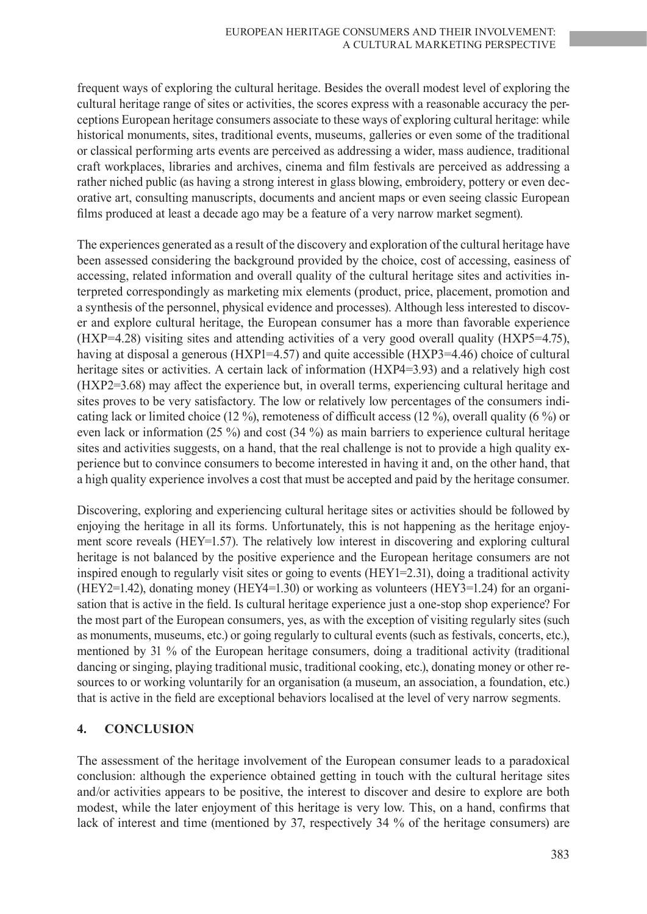frequent ways of exploring the cultural heritage. Besides the overall modest level of exploring the cultural heritage range of sites or activities, the scores express with a reasonable accuracy the perceptions European heritage consumers associate to these ways of exploring cultural heritage: while historical monuments, sites, traditional events, museums, galleries or even some of the traditional or classical performing arts events are perceived as addressing a wider, mass audience, traditional craft workplaces, libraries and archives, cinema and film festivals are perceived as addressing a rather niched public (as having a strong interest in glass blowing, embroidery, pottery or even decorative art, consulting manuscripts, documents and ancient maps or even seeing classic European films produced at least a decade ago may be a feature of a very narrow market segment).

The experiences generated as a result of the discovery and exploration of the cultural heritage have been assessed considering the background provided by the choice, cost of accessing, easiness of accessing, related information and overall quality of the cultural heritage sites and activities interpreted correspondingly as marketing mix elements (product, price, placement, promotion and a synthesis of the personnel, physical evidence and processes). Although less interested to discover and explore cultural heritage, the European consumer has a more than favorable experience (HXP=4.28) visiting sites and attending activities of a very good overall quality (HXP5=4.75), having at disposal a generous (HXP1=4.57) and quite accessible (HXP3=4.46) choice of cultural heritage sites or activities. A certain lack of information (HXP4=3.93) and a relatively high cost (HXP2=3.68) may affect the experience but, in overall terms, experiencing cultural heritage and sites proves to be very satisfactory. The low or relatively low percentages of the consumers indicating lack or limited choice (12 %), remoteness of difficult access (12 %), overall quality (6 %) or even lack or information (25 %) and cost (34 %) as main barriers to experience cultural heritage sites and activities suggests, on a hand, that the real challenge is not to provide a high quality experience but to convince consumers to become interested in having it and, on the other hand, that a high quality experience involves a cost that must be accepted and paid by the heritage consumer.

Discovering, exploring and experiencing cultural heritage sites or activities should be followed by enjoying the heritage in all its forms. Unfortunately, this is not happening as the heritage enjoyment score reveals (HEY=1.57). The relatively low interest in discovering and exploring cultural heritage is not balanced by the positive experience and the European heritage consumers are not inspired enough to regularly visit sites or going to events (HEY1=2.31), doing a traditional activity (HEY2=1.42), donating money (HEY4=1.30) or working as volunteers (HEY3=1.24) for an organisation that is active in the field. Is cultural heritage experience just a one-stop shop experience? For the most part of the European consumers, yes, as with the exception of visiting regularly sites (such as monuments, museums, etc.) or going regularly to cultural events (such as festivals, concerts, etc.), mentioned by 31 % of the European heritage consumers, doing a traditional activity (traditional dancing or singing, playing traditional music, traditional cooking, etc.), donating money or other resources to or working voluntarily for an organisation (a museum, an association, a foundation, etc.) that is active in the field are exceptional behaviors localised at the level of very narrow segments.

#### **4. CONCLUSION**

The assessment of the heritage involvement of the European consumer leads to a paradoxical conclusion: although the experience obtained getting in touch with the cultural heritage sites and/or activities appears to be positive, the interest to discover and desire to explore are both modest, while the later enjoyment of this heritage is very low. This, on a hand, confirms that lack of interest and time (mentioned by 37, respectively 34 % of the heritage consumers) are